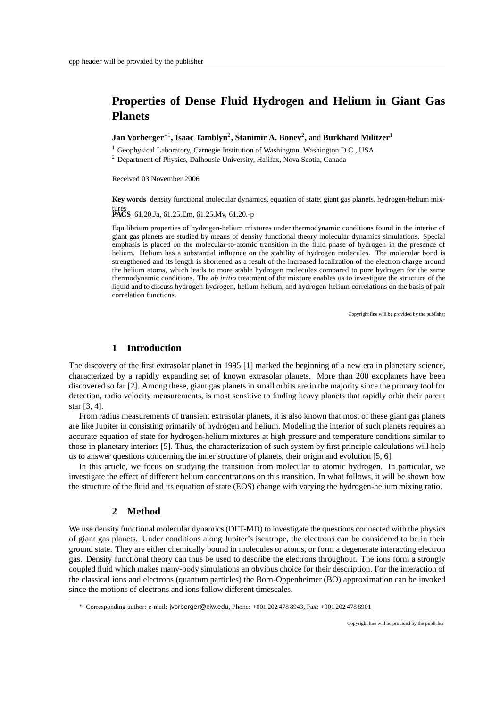# **Properties of Dense Fluid Hydrogen and Helium in Giant Gas Planets**

**Jan Vorberger**∗<sup>1</sup> **, Isaac Tamblyn**<sup>2</sup> **, Stanimir A. Bonev**<sup>2</sup> **,** and **Burkhard Militzer**<sup>1</sup>

<sup>1</sup> Geophysical Laboratory, Carnegie Institution of Washington, Washington D.C., USA

<sup>2</sup> Department of Physics, Dalhousie University, Halifax, Nova Scotia, Canada

Received 03 November 2006

**Key words** density functional molecular dynamics, equation of state, giant gas planets, hydrogen-helium mix-

tures **PACS** 61.20.Ja, 61.25.Em, 61.25.Mv, 61.20.-p

Equilibrium properties of hydrogen-helium mixtures under thermodynamic conditions found in the interior of giant gas planets are studied by means of density functional theory molecular dynamics simulations. Special emphasis is placed on the molecular-to-atomic transition in the fluid phase of hydrogen in the presence of helium. Helium has a substantial influence on the stability of hydrogen molecules. The molecular bond is strengthened and its length is shortened as a result of the increased localization of the electron charge around the helium atoms, which leads to more stable hydrogen molecules compared to pure hydrogen for the same thermodynamic conditions. The *ab initio* treatment of the mixture enables us to investigate the structure of the liquid and to discuss hydrogen-hydrogen, helium-helium, and hydrogen-helium correlations on the basis of pair correlation functions.

Copyright line will be provided by the publisher

## **1 Introduction**

The discovery of the first extrasolar planet in 1995 [1] marked the beginning of a new era in planetary science, characterized by a rapidly expanding set of known extrasolar planets. More than 200 exoplanets have been discovered so far [2]. Among these, giant gas planets in small orbits are in the majority since the primary tool for detection, radio velocity measurements, is most sensitive to finding heavy planets that rapidly orbit their parent star [3, 4].

From radius measurements of transient extrasolar planets, it is also known that most of these giant gas planets are like Jupiter in consisting primarily of hydrogen and helium. Modeling the interior of such planets requires an accurate equation of state for hydrogen-helium mixtures at high pressure and temperature conditions similar to those in planetary interiors [5]. Thus, the characterization of such system by first principle calculations will help us to answer questions concerning the inner structure of planets, their origin and evolution [5, 6].

In this article, we focus on studying the transition from molecular to atomic hydrogen. In particular, we investigate the effect of different helium concentrations on this transition. In what follows, it will be shown how the structure of the fluid and its equation of state (EOS) change with varying the hydrogen-helium mixing ratio.

#### **2 Method**

We use density functional molecular dynamics (DFT-MD) to investigate the questions connected with the physics of giant gas planets. Under conditions along Jupiter's isentrope, the electrons can be considered to be in their ground state. They are either chemically bound in molecules or atoms, or form a degenerate interacting electron gas. Density functional theory can thus be used to describe the electrons throughout. The ions form a strongly coupled fluid which makes many-body simulations an obvious choice for their description. For the interaction of the classical ions and electrons (quantum particles) the Born-Oppenheimer (BO) approximation can be invoked since the motions of electrons and ions follow different timescales.

<sup>∗</sup> Corresponding author: e-mail: jvorberger@ciw.edu, Phone: +001 202 478 8943, Fax: +001 202 478 8901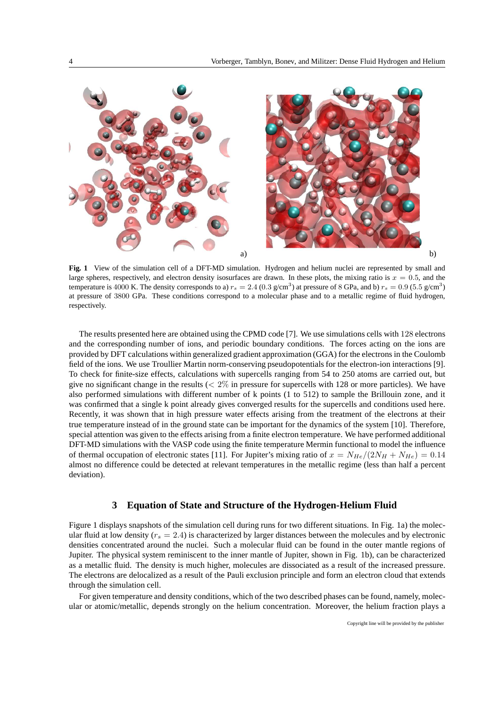

**Fig. 1** View of the simulation cell of a DFT-MD simulation. Hydrogen and helium nuclei are represented by small and large spheres, respectively, and electron density isosurfaces are drawn. In these plots, the mixing ratio is  $x = 0.5$ , and the temperature is 4000 K. The density corresponds to a)  $r_s = 2.4$  (0.3 g/cm<sup>3</sup>) at pressure of 8 GPa, and b)  $r_s = 0.9$  (5.5 g/cm<sup>3</sup>) at pressure of 3800 GPa. These conditions correspond to a molecular phase and to a metallic regime of fluid hydrogen, respectively.

The results presented here are obtained using the CPMD code [7]. We use simulations cells with 128 electrons and the corresponding number of ions, and periodic boundary conditions. The forces acting on the ions are provided by DFT calculations within generalized gradient approximation (GGA) for the electrons in the Coulomb field of the ions. We use Troullier Martin norm-conserving pseudopotentials for the electron-ion interactions [9]. To check for finite-size effects, calculations with supercells ranging from 54 to 250 atoms are carried out, but give no significant change in the results ( $\lt 2\%$  in pressure for supercells with 128 or more particles). We have also performed simulations with different number of k points (1 to 512) to sample the Brillouin zone, and it was confirmed that a single k point already gives converged results for the supercells and conditions used here. Recently, it was shown that in high pressure water effects arising from the treatment of the electrons at their true temperature instead of in the ground state can be important for the dynamics of the system [10]. Therefore, special attention was given to the effects arising from a finite electron temperature. We have performed additional DFT-MD simulations with the VASP code using the finite temperature Mermin functional to model the influence of thermal occupation of electronic states [11]. For Jupiter's mixing ratio of  $x = N_{He}/(2N_H + N_{He}) = 0.14$ almost no difference could be detected at relevant temperatures in the metallic regime (less than half a percent deviation).

### **3 Equation of State and Structure of the Hydrogen-Helium Fluid**

Figure 1 displays snapshots of the simulation cell during runs for two different situations. In Fig. 1a) the molecular fluid at low density ( $r_s = 2.4$ ) is characterized by larger distances between the molecules and by electronic densities concentrated around the nuclei. Such a molecular fluid can be found in the outer mantle regions of Jupiter. The physical system reminiscent to the inner mantle of Jupiter, shown in Fig. 1b), can be characterized as a metallic fluid. The density is much higher, molecules are dissociated as a result of the increased pressure. The electrons are delocalized as a result of the Pauli exclusion principle and form an electron cloud that extends through the simulation cell.

For given temperature and density conditions, which of the two described phases can be found, namely, molecular or atomic/metallic, depends strongly on the helium concentration. Moreover, the helium fraction plays a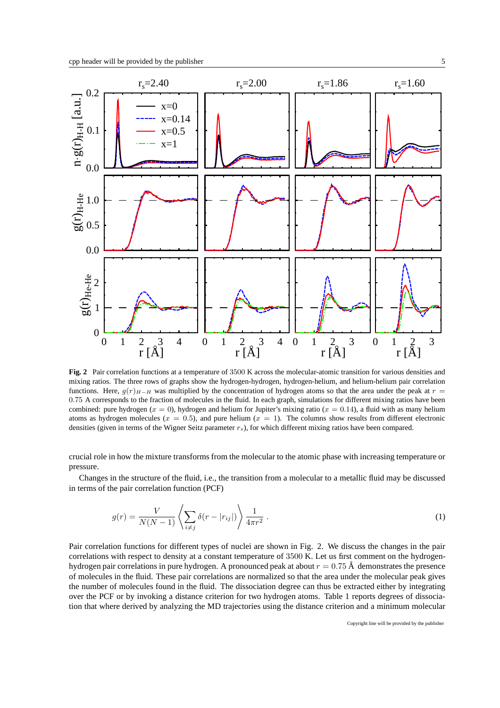

**Fig. 2** Pair correlation functions at a temperature of 3500 K across the molecular-atomic transition for various densities and mixing ratios. The three rows of graphs show the hydrogen-hydrogen, hydrogen-helium, and helium-helium pair correlation functions. Here,  $g(r)_{H-H}$  was multiplied by the concentration of hydrogen atoms so that the area under the peak at  $r =$ 0.75 A corresponds to the fraction of molecules in the fluid. In each graph, simulations for different mixing ratios have been combined: pure hydrogen ( $x = 0$ ), hydrogen and helium for Jupiter's mixing ratio ( $x = 0.14$ ), a fluid with as many helium atoms as hydrogen molecules ( $x = 0.5$ ), and pure helium ( $x = 1$ ). The columns show results from different electronic densities (given in terms of the Wigner Seitz parameter  $r<sub>s</sub>$ ), for which different mixing ratios have been compared.

crucial role in how the mixture transforms from the molecular to the atomic phase with increasing temperature or pressure.

Changes in the structure of the fluid, i.e., the transition from a molecular to a metallic fluid may be discussed in terms of the pair correlation function (PCF)

$$
g(r) = \frac{V}{N(N-1)} \left\langle \sum_{i \neq j} \delta(r - |r_{ij}|) \right\rangle \frac{1}{4\pi r^2} . \tag{1}
$$

Pair correlation functions for different types of nuclei are shown in Fig. 2. We discuss the changes in the pair correlations with respect to density at a constant temperature of 3500 K. Let us first comment on the hydrogenhydrogen pair correlations in pure hydrogen. A pronounced peak at about  $r = 0.75$  Å demonstrates the presence of molecules in the fluid. These pair correlations are normalized so that the area under the molecular peak gives the number of molecules found in the fluid. The dissociation degree can thus be extracted either by integrating over the PCF or by invoking a distance criterion for two hydrogen atoms. Table 1 reports degrees of dissociation that where derived by analyzing the MD trajectories using the distance criterion and a minimum molecular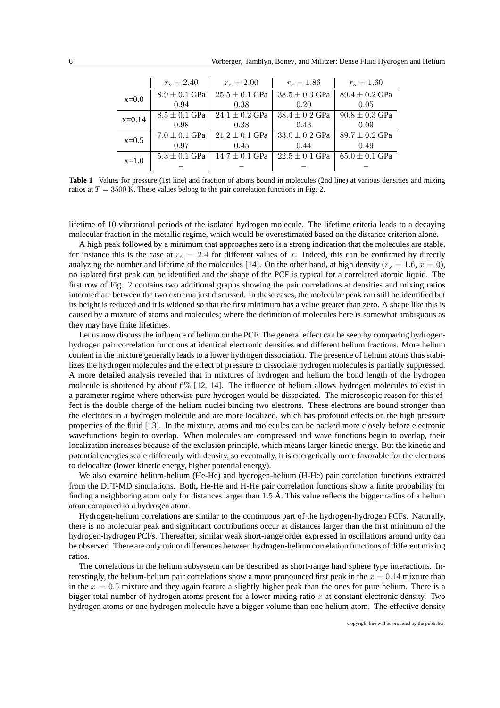|          | $r_s = 2.40$      | $r_s = 2.00$       | $r_s = 1.86$       | $r_s = 1.60$       |
|----------|-------------------|--------------------|--------------------|--------------------|
| $x=0.0$  | $8.9 \pm 0.1$ GPa | $25.5 \pm 0.1$ GPa | $38.5 \pm 0.3$ GPa | $89.4 \pm 0.2$ GPa |
|          | 0.94              | 0.38               | 0.20               | 0.05               |
| $x=0.14$ | $8.5 \pm 0.1$ GPa | $24.1 \pm 0.2$ GPa | $38.4 \pm 0.2$ GPa | $90.8 \pm 0.3$ GPa |
|          | 0.98              | 0.38               | 0.43               | 0.09               |
| $x=0.5$  | $7.0 \pm 0.1$ GPa | $21.2 \pm 0.1$ GPa | $33.0 \pm 0.2$ GPa | $89.7 \pm 0.2$ GPa |
|          | 0.97              | 0.45               | 0.44               | 0.49               |
| $x=1.0$  | $5.3 \pm 0.1$ GPa | $14.7 \pm 0.1$ GPa | $22.5 \pm 0.1$ GPa | $65.0 \pm 0.1$ GPa |
|          |                   |                    |                    |                    |

**Table 1** Values for pressure (1st line) and fraction of atoms bound in molecules (2nd line) at various densities and mixing ratios at  $T = 3500$  K. These values belong to the pair correlation functions in Fig. 2.

lifetime of 10 vibrational periods of the isolated hydrogen molecule. The lifetime criteria leads to a decaying molecular fraction in the metallic regime, which would be overestimated based on the distance criterion alone.

A high peak followed by a minimum that approaches zero is a strong indication that the molecules are stable, for instance this is the case at  $r_s = 2.4$  for different values of x. Indeed, this can be confirmed by directly analyzing the number and lifetime of the molecules [14]. On the other hand, at high density ( $r_s = 1.6$ ,  $x = 0$ ), no isolated first peak can be identified and the shape of the PCF is typical for a correlated atomic liquid. The first row of Fig. 2 contains two additional graphs showing the pair correlations at densities and mixing ratios intermediate between the two extrema just discussed. In these cases, the molecular peak can still be identified but its height is reduced and it is widened so that the first minimum has a value greater than zero. A shape like this is caused by a mixture of atoms and molecules; where the definition of molecules here is somewhat ambiguous as they may have finite lifetimes.

Let us now discuss the influence of helium on the PCF. The general effect can be seen by comparing hydrogenhydrogen pair correlation functions at identical electronic densities and different helium fractions. More helium content in the mixture generally leads to a lower hydrogen dissociation. The presence of helium atoms thus stabilizes the hydrogen molecules and the effect of pressure to dissociate hydrogen molecules is partially suppressed. A more detailed analysis revealed that in mixtures of hydrogen and helium the bond length of the hydrogen molecule is shortened by about 6% [12, 14]. The influence of helium allows hydrogen molecules to exist in a parameter regime where otherwise pure hydrogen would be dissociated. The microscopic reason for this effect is the double charge of the helium nuclei binding two electrons. These electrons are bound stronger than the electrons in a hydrogen molecule and are more localized, which has profound effects on the high pressure properties of the fluid [13]. In the mixture, atoms and molecules can be packed more closely before electronic wavefunctions begin to overlap. When molecules are compressed and wave functions begin to overlap, their localization increases because of the exclusion principle, which means larger kinetic energy. But the kinetic and potential energies scale differently with density, so eventually, it is energetically more favorable for the electrons to delocalize (lower kinetic energy, higher potential energy).

We also examine helium-helium (He-He) and hydrogen-helium (H-He) pair correlation functions extracted from the DFT-MD simulations. Both, He-He and H-He pair correlation functions show a finite probability for finding a neighboring atom only for distances larger than  $1.5 \text{ Å}$ . This value reflects the bigger radius of a helium atom compared to a hydrogen atom.

Hydrogen-helium correlations are similar to the continuous part of the hydrogen-hydrogen PCFs. Naturally, there is no molecular peak and significant contributions occur at distances larger than the first minimum of the hydrogen-hydrogen PCFs. Thereafter, similar weak short-range order expressed in oscillations around unity can be observed. There are only minor differences between hydrogen-helium correlation functions of different mixing ratios.

The correlations in the helium subsystem can be described as short-range hard sphere type interactions. Interestingly, the helium-helium pair correlations show a more pronounced first peak in the  $x = 0.14$  mixture than in the  $x = 0.5$  mixture and they again feature a slightly higher peak than the ones for pure helium. There is a bigger total number of hydrogen atoms present for a lower mixing ratio  $x$  at constant electronic density. Two hydrogen atoms or one hydrogen molecule have a bigger volume than one helium atom. The effective density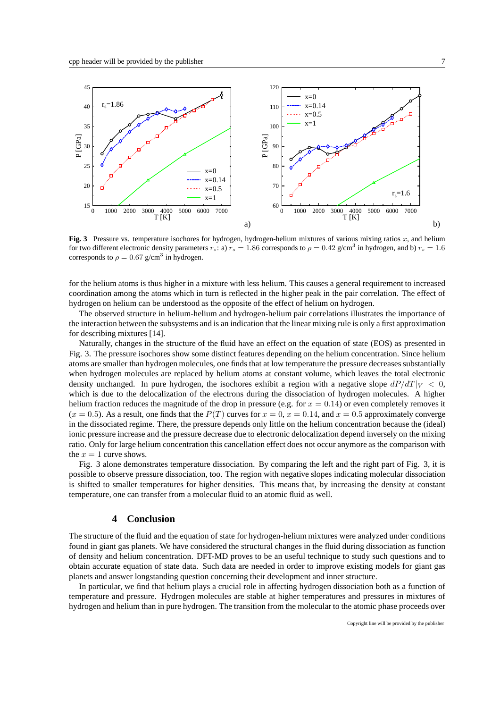

**Fig. 3** Pressure vs. temperature isochores for hydrogen, hydrogen-helium mixtures of various mixing ratios  $x$ , and helium for two different electronic density parameters  $r_s$ : a)  $r_s = 1.86$  corresponds to  $\rho = 0.42$  g/cm<sup>3</sup> in hydrogen, and b)  $r_s = 1.6$ corresponds to  $\rho = 0.67$  g/cm<sup>3</sup> in hydrogen.

for the helium atoms is thus higher in a mixture with less helium. This causes a general requirement to increased coordination among the atoms which in turn is reflected in the higher peak in the pair correlation. The effect of hydrogen on helium can be understood as the opposite of the effect of helium on hydrogen.

The observed structure in helium-helium and hydrogen-helium pair correlations illustrates the importance of the interaction between the subsystems and is an indication that the linear mixing rule is only a first approximation for describing mixtures [14].

Naturally, changes in the structure of the fluid have an effect on the equation of state (EOS) as presented in Fig. 3. The pressure isochores show some distinct features depending on the helium concentration. Since helium atoms are smaller than hydrogen molecules, one finds that at low temperature the pressure decreases substantially when hydrogen molecules are replaced by helium atoms at constant volume, which leaves the total electronic density unchanged. In pure hydrogen, the isochores exhibit a region with a negative slope  $dP/dT$   $\vert V \vert \leq 0$ . which is due to the delocalization of the electrons during the dissociation of hydrogen molecules. A higher helium fraction reduces the magnitude of the drop in pressure (e.g. for  $x = 0.14$ ) or even completely removes it  $(x = 0.5)$ . As a result, one finds that the  $P(T)$  curves for  $x = 0$ ,  $x = 0.14$ , and  $x = 0.5$  approximately converge in the dissociated regime. There, the pressure depends only little on the helium concentration because the (ideal) ionic pressure increase and the pressure decrease due to electronic delocalization depend inversely on the mixing ratio. Only for large helium concentration this cancellation effect does not occur anymore as the comparison with the  $x = 1$  curve shows.

Fig. 3 alone demonstrates temperature dissociation. By comparing the left and the right part of Fig. 3, it is possible to observe pressure dissociation, too. The region with negative slopes indicating molecular dissociation is shifted to smaller temperatures for higher densities. This means that, by increasing the density at constant temperature, one can transfer from a molecular fluid to an atomic fluid as well.

#### **4 Conclusion**

The structure of the fluid and the equation of state for hydrogen-helium mixtures were analyzed under conditions found in giant gas planets. We have considered the structural changes in the fluid during dissociation as function of density and helium concentration. DFT-MD proves to be an useful technique to study such questions and to obtain accurate equation of state data. Such data are needed in order to improve existing models for giant gas planets and answer longstanding question concerning their development and inner structure.

In particular, we find that helium plays a crucial role in affecting hydrogen dissociation both as a function of temperature and pressure. Hydrogen molecules are stable at higher temperatures and pressures in mixtures of hydrogen and helium than in pure hydrogen. The transition from the molecular to the atomic phase proceeds over